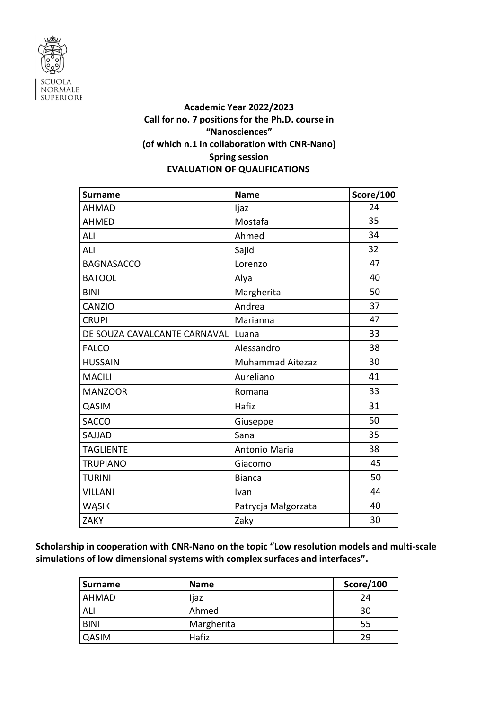

## **Academic Year 2022/2023 Call for no. 7 positions for the Ph.D. course in "Nanosciences" (of which n.1 in collaboration with CNR-Nano) Spring session EVALUATION OF QUALIFICATIONS**

| <b>Surname</b>               | <b>Name</b>             | Score/100 |
|------------------------------|-------------------------|-----------|
| <b>AHMAD</b>                 | ljaz                    | 24        |
| <b>AHMED</b>                 | Mostafa                 | 35        |
| ALI                          | Ahmed                   | 34        |
| ALI                          | Sajid                   | 32        |
| <b>BAGNASACCO</b>            | Lorenzo                 | 47        |
| <b>BATOOL</b>                | Alya                    | 40        |
| <b>BINI</b>                  | Margherita              | 50        |
| CANZIO                       | Andrea                  | 37        |
| <b>CRUPI</b>                 | Marianna                | 47        |
| DE SOUZA CAVALCANTE CARNAVAL | Luana                   | 33        |
| <b>FALCO</b>                 | Alessandro              | 38        |
| <b>HUSSAIN</b>               | <b>Muhammad Aitezaz</b> | 30        |
| <b>MACILI</b>                | Aureliano               | 41        |
| <b>MANZOOR</b>               | Romana                  | 33        |
| QASIM                        | Hafiz                   | 31        |
| <b>SACCO</b>                 | Giuseppe                | 50        |
| SAJJAD                       | Sana                    | 35        |
| <b>TAGLIENTE</b>             | Antonio Maria           | 38        |
| <b>TRUPIANO</b>              | Giacomo                 | 45        |
| <b>TURINI</b>                | <b>Bianca</b>           | 50        |
| <b>VILLANI</b>               | Ivan                    | 44        |
| WĄSIK                        | Patrycja Małgorzata     | 40        |
| <b>ZAKY</b>                  | Zaky                    | 30        |

**Scholarship in cooperation with CNR-Nano on the topic "Low resolution models and multi-scale simulations of low dimensional systems with complex surfaces and interfaces".**

| <b>Surname</b> | <b>Name</b> | Score/100 |
|----------------|-------------|-----------|
| AHMAD          | ljaz        | 24        |
| ALI            | Ahmed       | 30        |
| <b>BINI</b>    | Margherita  | 55        |
| <b>QASIM</b>   | Hafiz       | 29        |